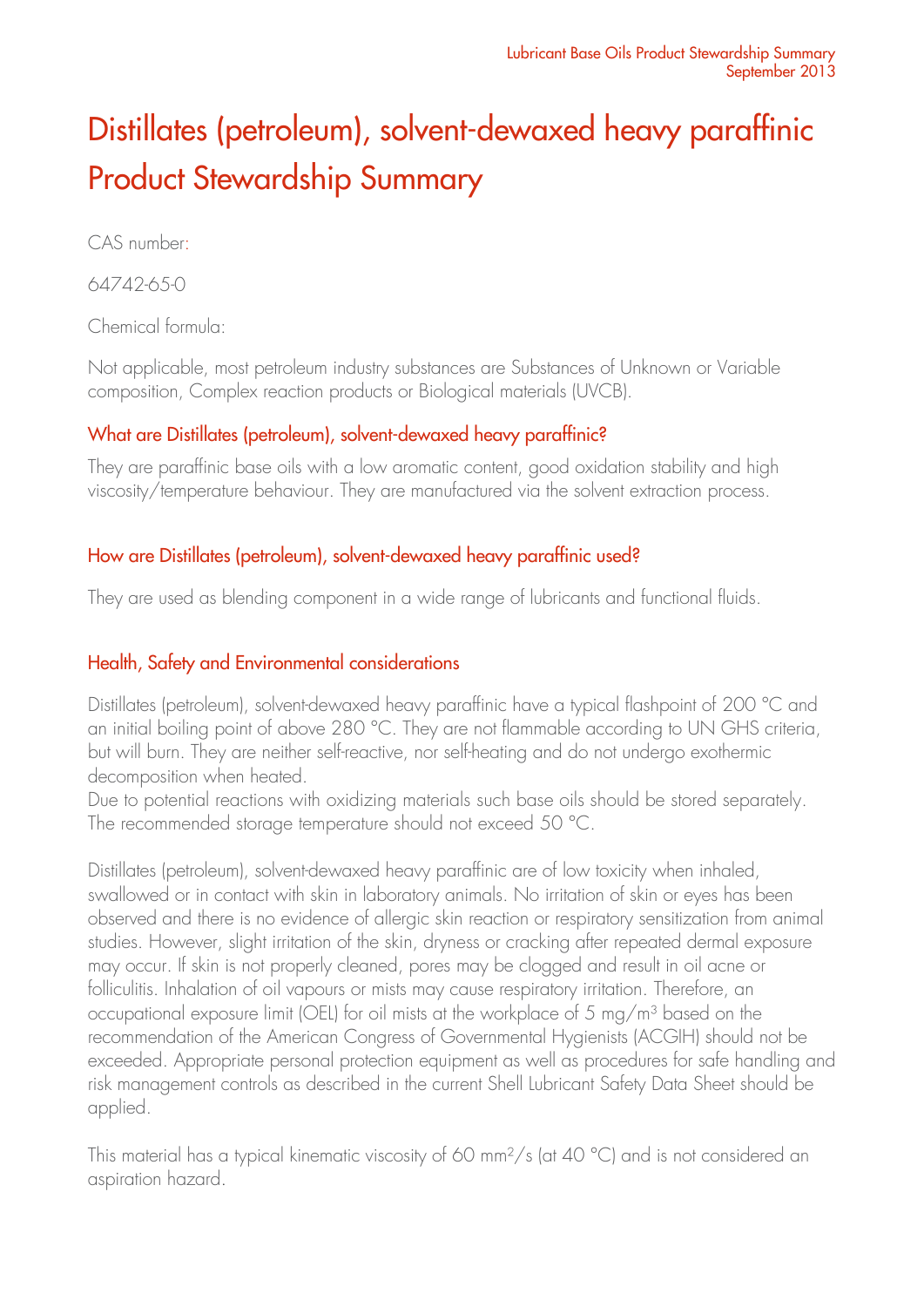# Distillates (petroleum), solvent-dewaxed heavy paraffinic Product Stewardship Summary

CAS number:

64742-65-0

Chemical formula:

Not applicable, most petroleum industry substances are Substances of Unknown or Variable composition, Complex reaction products or Biological materials (UVCB).

### What are Distillates (petroleum), solvent-dewaxed heavy paraffinic?

They are paraffinic base oils with a low aromatic content, good oxidation stability and high viscosity/temperature behaviour. They are manufactured via the solvent extraction process.

## How are Distillates (petroleum), solvent-dewaxed heavy paraffinic used?

They are used as blending component in a wide range of lubricants and functional fluids.

## Health, Safety and Environmental considerations

Distillates (petroleum), solvent-dewaxed heavy paraffinic have a typical flashpoint of 200 °C and an initial boiling point of above 280 °C. They are not flammable according to UN GHS criteria, but will burn. They are neither self-reactive, nor self-heating and do not undergo exothermic decomposition when heated.

Due to potential reactions with oxidizing materials such base oils should be stored separately. The recommended storage temperature should not exceed 50 °C.

Distillates (petroleum), solvent-dewaxed heavy paraffinic are of low toxicity when inhaled, swallowed or in contact with skin in laboratory animals. No irritation of skin or eyes has been observed and there is no evidence of allergic skin reaction or respiratory sensitization from animal studies. However, slight irritation of the skin, dryness or cracking after repeated dermal exposure may occur. If skin is not properly cleaned, pores may be clogged and result in oil acne or folliculitis. Inhalation of oil vapours or mists may cause respiratory irritation. Therefore, an occupational exposure limit (OEL) for oil mists at the workplace of 5 mg/m<sup>3</sup> based on the recommendation of the American Congress of Governmental Hygienists (ACGIH) should not be exceeded. Appropriate personal protection equipment as well as procedures for safe handling and risk management controls as described in the current Shell Lubricant Safety Data Sheet should be applied.

This material has a typical kinematic viscosity of 60 mm<sup>2</sup>/s (at 40 °C) and is not considered an aspiration hazard.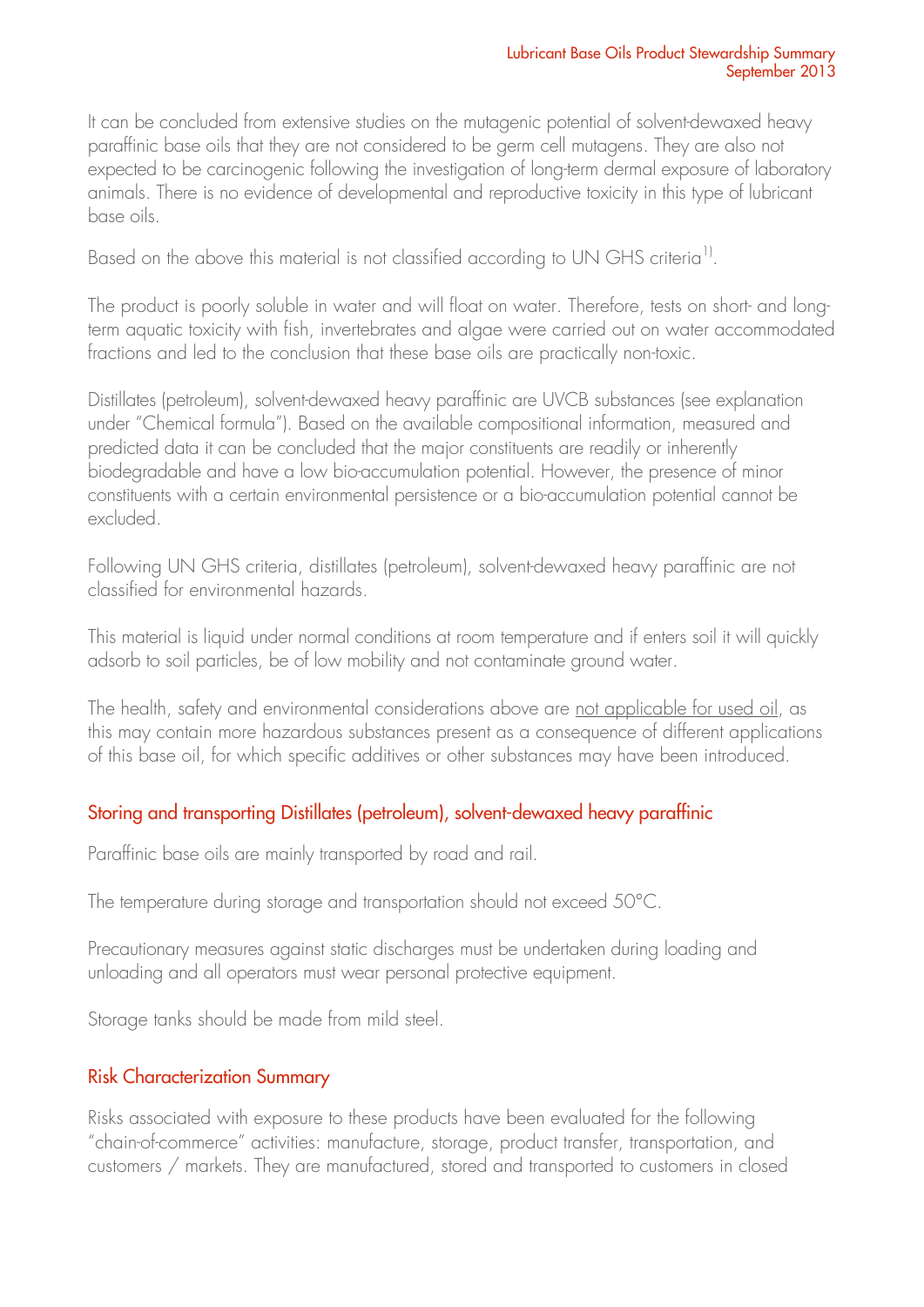It can be concluded from extensive studies on the mutagenic potential of solvent-dewaxed heavy paraffinic base oils that they are not considered to be germ cell mutagens. They are also not expected to be carcinogenic following the investigation of long-term dermal exposure of laboratory animals. There is no evidence of developmental and reproductive toxicity in this type of lubricant base oils.

Based on the above this material is not classified according to UN GHS criteria<sup>1)</sup>.

The product is poorly soluble in water and will float on water. Therefore, tests on short- and longterm aquatic toxicity with fish, invertebrates and algae were carried out on water accommodated fractions and led to the conclusion that these base oils are practically non-toxic.

Distillates (petroleum), solvent-dewaxed heavy paraffinic are UVCB substances (see explanation under "Chemical formula"). Based on the available compositional information, measured and predicted data it can be concluded that the major constituents are readily or inherently biodegradable and have a low bio-accumulation potential. However, the presence of minor constituents with a certain environmental persistence or a bio-accumulation potential cannot be excluded.

Following UN GHS criteria, distillates (petroleum), solvent-dewaxed heavy paraffinic are not classified for environmental hazards.

This material is liquid under normal conditions at room temperature and if enters soil it will quickly adsorb to soil particles, be of low mobility and not contaminate ground water.

The health, safety and environmental considerations above are not applicable for used oil, as this may contain more hazardous substances present as a consequence of different applications of this base oil, for which specific additives or other substances may have been introduced.

### Storing and transporting Distillates (petroleum), solvent-dewaxed heavy paraffinic

Paraffinic base oils are mainly transported by road and rail.

The temperature during storage and transportation should not exceed 50°C.

Precautionary measures against static discharges must be undertaken during loading and unloading and all operators must wear personal protective equipment.

Storage tanks should be made from mild steel.

### Risk Characterization Summary

Risks associated with exposure to these products have been evaluated for the following "chain-of-commerce" activities: manufacture, storage, product transfer, transportation, and customers / markets. They are manufactured, stored and transported to customers in closed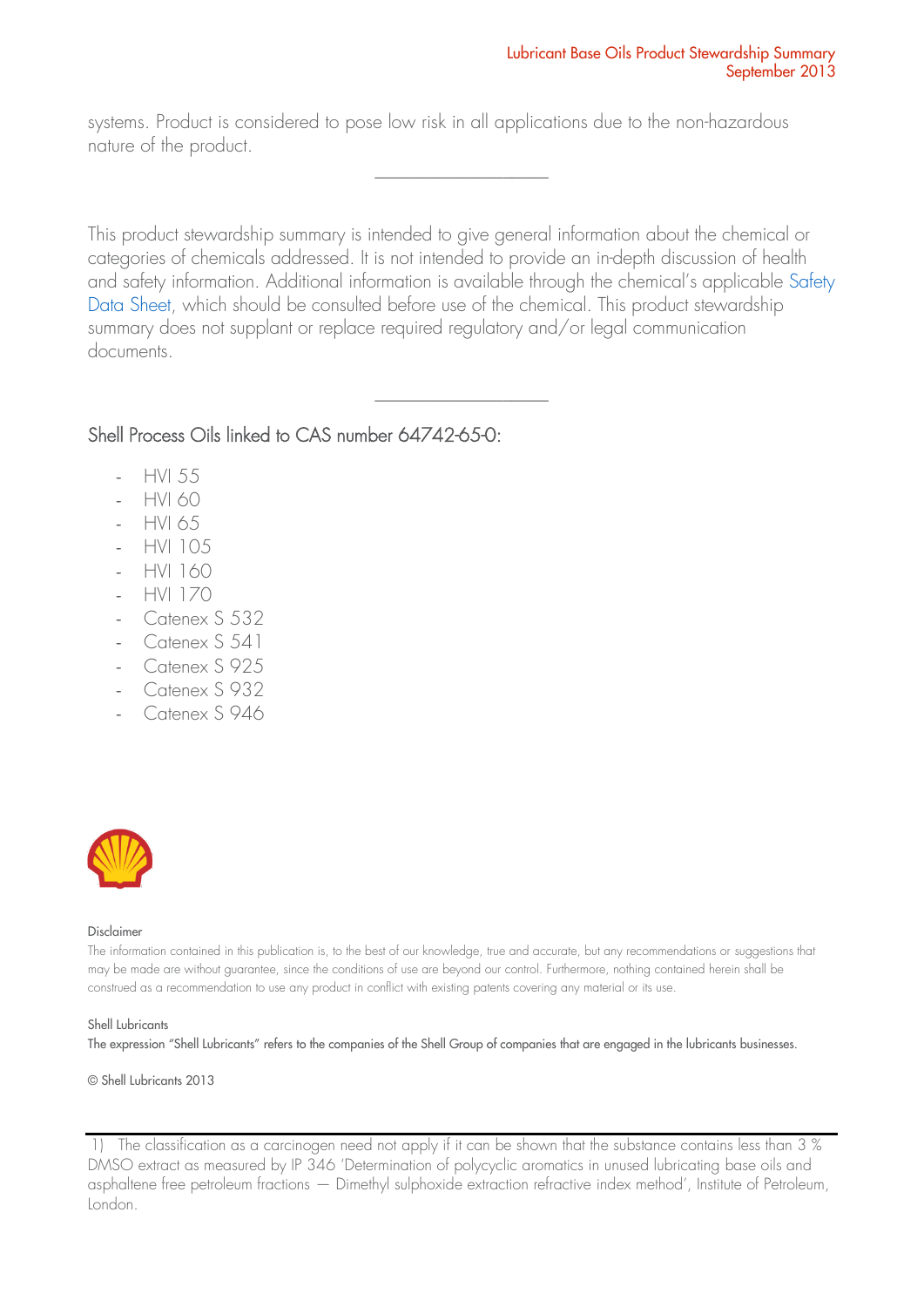systems. Product is considered to pose low risk in all applications due to the non-hazardous nature of the product.

This product stewardship summary is intended to give general information about the chemical or categories of chemicals addressed. It is not intended to provide an in-depth discussion of health and safety information. Additional information is available through the chemical's applicable [Safety](http://www.epc.shell.com/)  [Data Sheet,](http://www.epc.shell.com/) which should be consulted before use of the chemical. This product stewardship summary does not supplant or replace required regulatory and/or legal communication documents.

\_\_\_\_\_\_\_\_\_\_\_\_\_\_\_\_\_\_\_

\_\_\_\_\_\_\_\_\_\_\_\_\_\_\_\_\_\_\_

#### Shell Process Oils linked to CAS number 64742-65-0:

- HVI 55
- HVI 60
- HVI 65
- HVI 105
- HVI 160
- HVI 170
- Catenex S 532
- Catenex S 541
- Catenex S 925
- Catenex S 932
- Catenex S 946



#### Disclaimer

The information contained in this publication is, to the best of our knowledge, true and accurate, but any recommendations or suggestions that may be made are without guarantee, since the conditions of use are beyond our control. Furthermore, nothing contained herein shall be construed as a recommendation to use any product in conflict with existing patents covering any material or its use.

#### Shell Lubricants

The expression "Shell Lubricants" refers to the companies of the Shell Group of companies that are engaged in the lubricants businesses.

© Shell Lubricants 2013

1) The classification as a carcinogen need not apply if it can be shown that the substance contains less than 3 % DMSO extract as measured by IP 346 'Determination of polycyclic aromatics in unused lubricating base oils and asphaltene free petroleum fractions — Dimethyl sulphoxide extraction refractive index method', Institute of Petroleum, London.